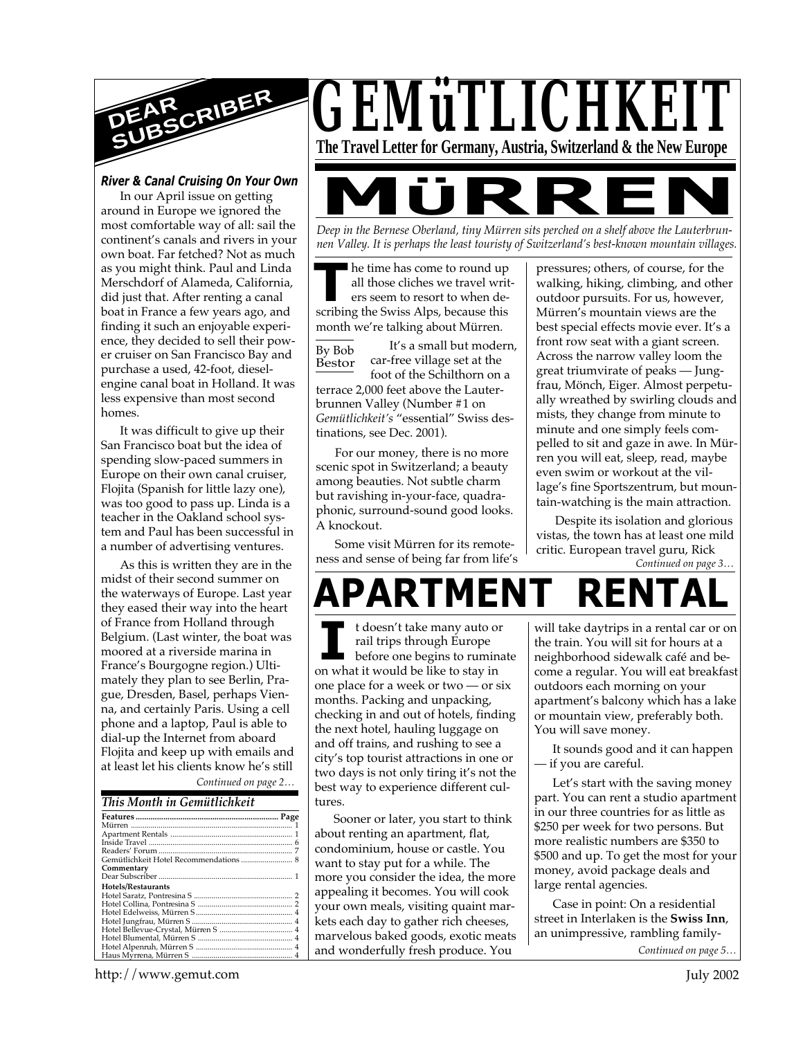

## *River & Canal Cruising On Your Own*

In our April issue on getting around in Europe we ignored the most comfortable way of all: sail the continent's canals and rivers in your own boat. Far fetched? Not as much as you might think. Paul and Linda Merschdorf of Alameda, California, did just that. After renting a canal boat in France a few years ago, and finding it such an enjoyable experience, they decided to sell their power cruiser on San Francisco Bay and purchase a used, 42-foot, dieselengine canal boat in Holland. It was less expensive than most second homes.

It was difficult to give up their San Francisco boat but the idea of spending slow-paced summers in Europe on their own canal cruiser, Flojita (Spanish for little lazy one), was too good to pass up. Linda is a teacher in the Oakland school system and Paul has been successful in a number of advertising ventures.

*Continued on page 2…* As this is written they are in the midst of their second summer on the waterways of Europe. Last year they eased their way into the heart of France from Holland through Belgium. (Last winter, the boat was moored at a riverside marina in France's Bourgogne region.) Ultimately they plan to see Berlin, Prague, Dresden, Basel, perhaps Vienna, and certainly Paris. Using a cell phone and a laptop, Paul is able to dial-up the Internet from aboard Flojita and keep up with emails and at least let his clients know he's still

## *This Month in Gemütlichkeit*

| Gemütlichkeit Hotel Recommendations  8 |  |
|----------------------------------------|--|
| Commentary                             |  |
|                                        |  |
| <b>Hotels/Restaurants</b>              |  |
|                                        |  |
|                                        |  |
|                                        |  |
|                                        |  |
|                                        |  |
|                                        |  |
|                                        |  |
|                                        |  |



*nen Valley. It is perhaps the least touristy of Switzerland's best-known mountain villages.*

**THE SET SAMPLE THE SWISS ALPS, THE SWISS ALPS, because this scribing the Swiss Alps, because this** he time has come to round up all those cliches we travel writers seem to resort to when demonth we're talking about Mürren.

By Bob Bestor It's a small but modern, car-free village set at the foot of the Schilthorn on a terrace 2,000 feet above the Lauterbrunnen Valley (Number #1 on *Gemütlichkeit's* "essential" Swiss destinations, see Dec. 2001).

For our money, there is no more scenic spot in Switzerland; a beauty among beauties. Not subtle charm but ravishing in-your-face, quadraphonic, surround-sound good looks. A knockout.

Some visit Mürren for its remoteness and sense of being far from life's pressures; others, of course, for the walking, hiking, climbing, and other outdoor pursuits. For us, however, Mürren's mountain views are the best special effects movie ever. It's a front row seat with a giant screen. Across the narrow valley loom the great triumvirate of peaks — Jungfrau, Mönch, Eiger. Almost perpetually wreathed by swirling clouds and mists, they change from minute to minute and one simply feels compelled to sit and gaze in awe. In Mürren you will eat, sleep, read, maybe even swim or workout at the village's fine Sportszentrum, but mountain-watching is the main attraction.

*Continued on page 3…* Despite its isolation and glorious vistas, the town has at least one mild critic. European travel guru, Rick

**APARTMENT** 

**I** on what it would be like to stay in t doesn't take many auto or rail trips through Europe before one begins to ruminate one place for a week or two — or six months. Packing and unpacking, checking in and out of hotels, finding the next hotel, hauling luggage on and off trains, and rushing to see a city's top tourist attractions in one or two days is not only tiring it's not the best way to experience different cultures.

Sooner or later, you start to think about renting an apartment, flat, condominium, house or castle. You want to stay put for a while. The more you consider the idea, the more appealing it becomes. You will cook your own meals, visiting quaint markets each day to gather rich cheeses, marvelous baked goods, exotic meats and wonderfully fresh produce. You

will take daytrips in a rental car or on the train. You will sit for hours at a neighborhood sidewalk café and become a regular. You will eat breakfast outdoors each morning on your apartment's balcony which has a lake or mountain view, preferably both. You will save money.

It sounds good and it can happen — if you are careful.

Let's start with the saving money part. You can rent a studio apartment in our three countries for as little as \$250 per week for two persons. But more realistic numbers are \$350 to \$500 and up. To get the most for your money, avoid package deals and large rental agencies.

Case in point: On a residential street in Interlaken is the **Swiss Inn**, an unimpressive, rambling family-

*Continued on page 5…*

http://www.gemut.com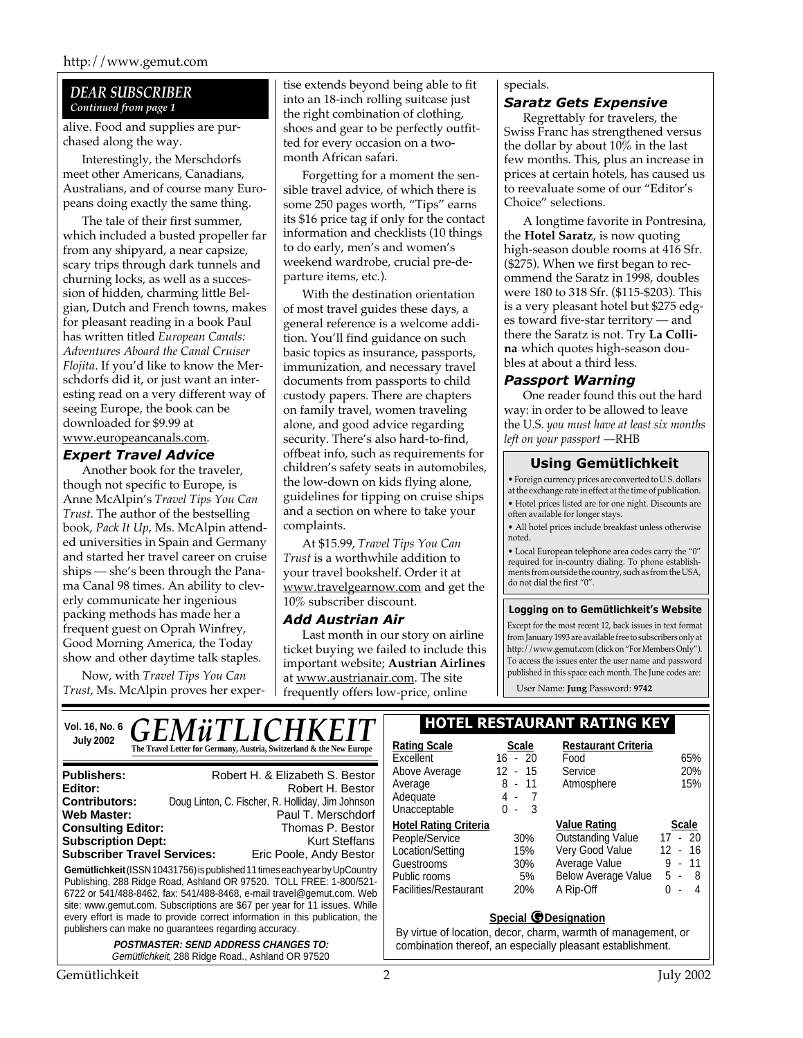## *DEAR SUBSCRIBER Continued from page 1*

alive. Food and supplies are purchased along the way.

Interestingly, the Merschdorfs meet other Americans, Canadians, Australians, and of course many Europeans doing exactly the same thing.

The tale of their first summer, which included a busted propeller far from any shipyard, a near capsize, scary trips through dark tunnels and churning locks, as well as a succession of hidden, charming little Belgian, Dutch and French towns, makes for pleasant reading in a book Paul has written titled *European Canals: Adventures Aboard the Canal Cruiser Flojita*. If you'd like to know the Merschdorfs did it, or just want an interesting read on a very different way of seeing Europe, the book can be downloaded for \$9.99 at www.europeancanals.com.

## *Expert Travel Advice*

Another book for the traveler, though not specific to Europe, is Anne McAlpin's *Travel Tips You Can Trust*. The author of the bestselling book, *Pack It Up*, Ms. McAlpin attended universities in Spain and Germany and started her travel career on cruise ships — she's been through the Panama Canal 98 times. An ability to cleverly communicate her ingenious packing methods has made her a frequent guest on Oprah Winfrey, Good Morning America, the Today show and other daytime talk staples.

Now, with *Travel Tips You Can Trust*, Ms. McAlpin proves her exper-

tise extends beyond being able to fit into an 18-inch rolling suitcase just the right combination of clothing, shoes and gear to be perfectly outfitted for every occasion on a twomonth African safari.

Forgetting for a moment the sensible travel advice, of which there is some 250 pages worth, "Tips" earns its \$16 price tag if only for the contact information and checklists (10 things to do early, men's and women's weekend wardrobe, crucial pre-departure items, etc.).

With the destination orientation of most travel guides these days, a general reference is a welcome addition. You'll find guidance on such basic topics as insurance, passports, immunization, and necessary travel documents from passports to child custody papers. There are chapters on family travel, women traveling alone, and good advice regarding security. There's also hard-to-find, offbeat info, such as requirements for children's safety seats in automobiles, the low-down on kids flying alone, guidelines for tipping on cruise ships and a section on where to take your complaints.

At \$15.99, *Travel Tips You Can Trust* is a worthwhile addition to your travel bookshelf. Order it at www.travelgearnow.com and get the 10% subscriber discount.

## *Add Austrian Air*

Last month in our story on airline ticket buying we failed to include this important website; **Austrian Airlines** at www.austrianair.com. The site frequently offers low-price, online

## specials.

## *Saratz Gets Expensive*

Regrettably for travelers, the Swiss Franc has strengthened versus the dollar by about 10% in the last few months. This, plus an increase in prices at certain hotels, has caused us to reevaluate some of our "Editor's Choice" selections.

A longtime favorite in Pontresina, the **Hotel Saratz**, is now quoting high-season double rooms at 416 Sfr. (\$275). When we first began to recommend the Saratz in 1998, doubles were 180 to 318 Sfr. (\$115-\$203). This is a very pleasant hotel but \$275 edges toward five-star territory — and there the Saratz is not. Try **La Collina** which quotes high-season doubles at about a third less.

## *Passport Warning*

One reader found this out the hard way: in order to be allowed to leave the U.S. *you must have at least six months left on your passport* —RHB

## **Using Gemütlichkeit**

• Foreign currency prices are converted to U.S. dollars at the exchange rate in effect at the time of publication. • Hotel prices listed are for one night. Discounts are often available for longer stays.

• All hotel prices include breakfast unless otherwise noted.

• Local European telephone area codes carry the "0" required for in-country dialing. To phone establishments from outside the country, such as from the USA, do not dial the first "0".

#### **Logging on to Gemütlichkeit's Website**

Except for the most recent 12, back issues in text format from January 1993 are available free to subscribers only at http://www.gemut.com (click on "For Members Only"). To access the issues enter the user name and password published in this space each month. The June codes are:

User Name: **Jung** Password: **9742**

| <b>GEMüTLICHKEIT</b><br>Vol. 16, No. 6                                                                                                                                                                                                                                                                                                                                                                                                                                         | I HOTEL RESTAURANT RATING KEY                                                                                                                                                                                                                                                                                                                                   |  |  |
|--------------------------------------------------------------------------------------------------------------------------------------------------------------------------------------------------------------------------------------------------------------------------------------------------------------------------------------------------------------------------------------------------------------------------------------------------------------------------------|-----------------------------------------------------------------------------------------------------------------------------------------------------------------------------------------------------------------------------------------------------------------------------------------------------------------------------------------------------------------|--|--|
| <b>July 2002</b><br>The Travel Letter for Germany, Austria, Switzerland & the New Europe                                                                                                                                                                                                                                                                                                                                                                                       | <b>Rating Scale</b><br><b>Restaurant Criteria</b><br><b>Scale</b><br>$16 - 20$<br>65%<br>Excellent<br>Food                                                                                                                                                                                                                                                      |  |  |
| Robert H. & Elizabeth S. Bestor<br><b>Publishers:</b><br>Editor:<br>Robert H. Bestor<br>Doug Linton, C. Fischer, R. Holliday, Jim Johnson<br><b>Contributors:</b><br>Web Master:<br>Paul T. Merschdorf                                                                                                                                                                                                                                                                         | 20%<br>Above Average<br>$12 - 15$<br>Service<br>15%<br>$8 - 11$<br>Atmosphere<br>Average<br>Adequate<br>4-7<br>$0 - 3$<br>Unacceptable                                                                                                                                                                                                                          |  |  |
| <b>Consulting Editor:</b><br>Thomas P. Bestor<br><b>Subscription Dept:</b><br><b>Kurt Steffans</b><br><b>Subscriber Travel Services:</b><br>Eric Poole, Andy Bestor<br>Gemütlichkeit (ISSN 10431756) is published 11 times each year by UpCountry<br>Publishing, 288 Ridge Road, Ashland OR 97520. TOLL FREE: 1-800/521-<br>6722 or 541/488-8462, fax: 541/488-8468, e-mail travel@gemut.com. Web<br>site: www.gemut.com. Subscriptions are \$67 per year for 11 issues. While | <b>Value Rating</b><br>Scale<br><b>Hotel Rating Criteria</b><br>$17 - 20$<br><b>Outstanding Value</b><br>People/Service<br>30%<br>Very Good Value<br>$12 - 16$<br>Location/Setting<br>15%<br>$-11$<br>Average Value<br>9<br>30%<br>Guestrooms<br>Below Average Value<br>$5 - 8$<br>Public rooms<br>5%<br>Facilities/Restaurant<br>20%<br>$-4$<br>A Rip-Off<br>0 |  |  |
| every effort is made to provide correct information in this publication, the<br>publishers can make no guarantees regarding accuracy.<br><b>POSTMASTER: SEND ADDRESS CHANGES TO:</b><br>Gemütlichkeit, 288 Ridge Road., Ashland OR 97520                                                                                                                                                                                                                                       | <b>Special @Designation</b><br>By virtue of location, decor, charm, warmth of management, or<br>combination thereof, an especially pleasant establishment.                                                                                                                                                                                                      |  |  |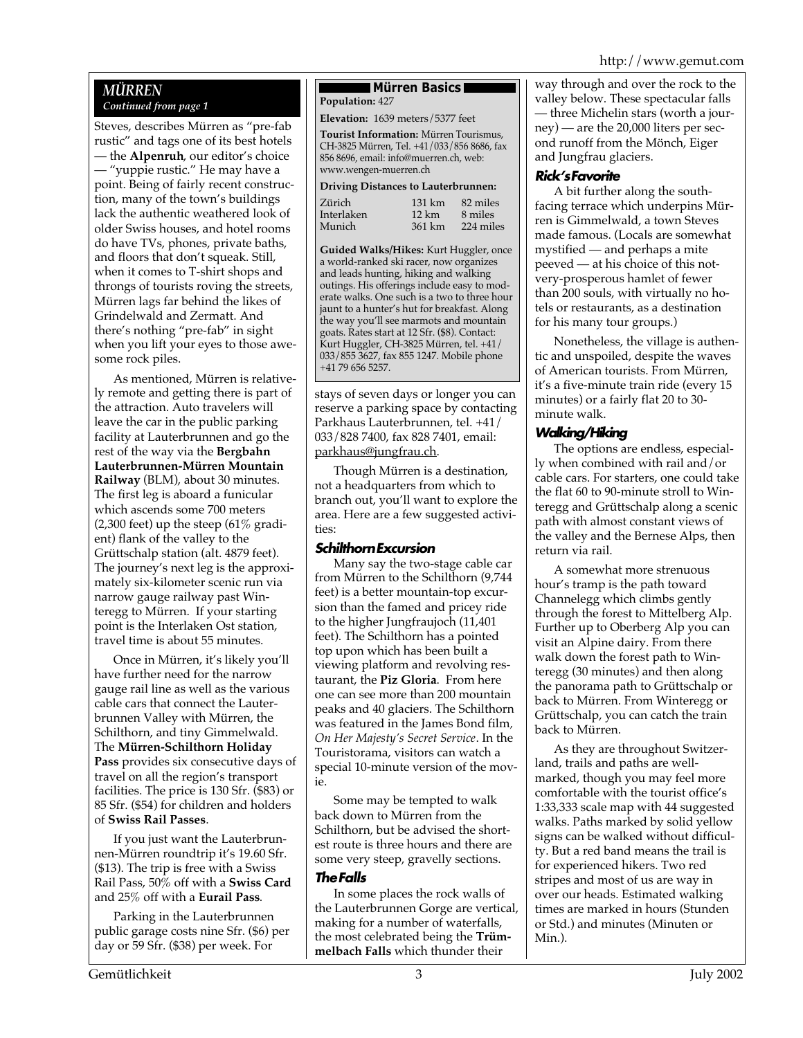## *MÜRREN Continued from page 1*

Steves, describes Mürren as "pre-fab rustic" and tags one of its best hotels — the **Alpenruh**, our editor's choice — "yuppie rustic." He may have a point. Being of fairly recent construction, many of the town's buildings lack the authentic weathered look of older Swiss houses, and hotel rooms do have TVs, phones, private baths, and floors that don't squeak. Still, when it comes to T-shirt shops and throngs of tourists roving the streets, Mürren lags far behind the likes of Grindelwald and Zermatt. And there's nothing "pre-fab" in sight when you lift your eyes to those awesome rock piles.

As mentioned, Mürren is relatively remote and getting there is part of the attraction. Auto travelers will leave the car in the public parking facility at Lauterbrunnen and go the rest of the way via the **Bergbahn Lauterbrunnen-Mürren Mountain Railway** (BLM), about 30 minutes. The first leg is aboard a funicular which ascends some 700 meters (2,300 feet) up the steep  $(61\% \text{ gradi-}$ ent) flank of the valley to the Grüttschalp station (alt. 4879 feet). The journey's next leg is the approximately six-kilometer scenic run via narrow gauge railway past Winteregg to Mürren. If your starting point is the Interlaken Ost station, travel time is about 55 minutes.

Once in Mürren, it's likely you'll have further need for the narrow gauge rail line as well as the various cable cars that connect the Lauterbrunnen Valley with Mürren, the Schilthorn, and tiny Gimmelwald. The **Mürren-Schilthorn Holiday Pass** provides six consecutive days of travel on all the region's transport facilities. The price is 130 Sfr. (\$83) or 85 Sfr. (\$54) for children and holders of **Swiss Rail Passes**.

If you just want the Lauterbrunnen-Mürren roundtrip it's 19.60 Sfr. (\$13). The trip is free with a Swiss Rail Pass, 50% off with a **Swiss Card** and 25% off with a **Eurail Pass**.

Parking in the Lauterbrunnen public garage costs nine Sfr. (\$6) per day or 59 Sfr. (\$38) per week. For

#### **Mürren Basics Population:** 427

**Elevation:** 1639 meters/5377 feet

**Tourist Information:** Mürren Tourismus, CH-3825 Mürren, Tel. +41/033/856 8686, fax 856 8696, email: info@muerren.ch, web: www.wengen-muerren.ch

#### **Driving Distances to Lauterbrunnen:**

| Interlaken<br>Munich<br>361 km | $12 \text{ km}$ | 8 miles<br>224 miles |
|--------------------------------|-----------------|----------------------|
|--------------------------------|-----------------|----------------------|

**Guided Walks/Hikes:** Kurt Huggler, once a world-ranked ski racer, now organizes and leads hunting, hiking and walking outings. His offerings include easy to moderate walks. One such is a two to three hour jaunt to a hunter's hut for breakfast. Along the way you'll see marmots and mountain goats. Rates start at 12 Sfr. (\$8). Contact: Kurt Huggler, CH-3825 Mürren, tel. +41/ 033/855 3627, fax 855 1247. Mobile phone +41 79 656 5257.

stays of seven days or longer you can reserve a parking space by contacting Parkhaus Lauterbrunnen, tel. +41/ 033/828 7400, fax 828 7401, email: parkhaus@jungfrau.ch.

Though Mürren is a destination, not a headquarters from which to branch out, you'll want to explore the area. Here are a few suggested activities:

## **Schilthorn Excursion**

Many say the two-stage cable car from Mürren to the Schilthorn (9,744 feet) is a better mountain-top excursion than the famed and pricey ride to the higher Jungfraujoch (11,401 feet). The Schilthorn has a pointed top upon which has been built a viewing platform and revolving restaurant, the **Piz Gloria**. From here one can see more than 200 mountain peaks and 40 glaciers. The Schilthorn was featured in the James Bond film*, On Her Majesty's Secret Service*. In the Touristorama, visitors can watch a special 10-minute version of the movie.

Some may be tempted to walk back down to Mürren from the Schilthorn, but be advised the shortest route is three hours and there are some very steep, gravelly sections.

## **The Falls**

In some places the rock walls of the Lauterbrunnen Gorge are vertical, making for a number of waterfalls, the most celebrated being the **Trümmelbach Falls** which thunder their

way through and over the rock to the valley below. These spectacular falls — three Michelin stars (worth a journey) — are the 20,000 liters per second runoff from the Mönch, Eiger and Jungfrau glaciers.

## **Rick's Favorite**

A bit further along the southfacing terrace which underpins Mürren is Gimmelwald, a town Steves made famous. (Locals are somewhat mystified — and perhaps a mite peeved — at his choice of this notvery-prosperous hamlet of fewer than 200 souls, with virtually no hotels or restaurants, as a destination for his many tour groups.)

Nonetheless, the village is authentic and unspoiled, despite the waves of American tourists. From Mürren, it's a five-minute train ride (every 15 minutes) or a fairly flat 20 to 30 minute walk.

## **Walking/Hiking**

The options are endless, especially when combined with rail and/or cable cars. For starters, one could take the flat 60 to 90-minute stroll to Winteregg and Grüttschalp along a scenic path with almost constant views of the valley and the Bernese Alps, then return via rail.

A somewhat more strenuous hour's tramp is the path toward Channelegg which climbs gently through the forest to Mittelberg Alp. Further up to Oberberg Alp you can visit an Alpine dairy. From there walk down the forest path to Winteregg (30 minutes) and then along the panorama path to Grüttschalp or back to Mürren. From Winteregg or Grüttschalp, you can catch the train back to Mürren.

As they are throughout Switzerland, trails and paths are wellmarked, though you may feel more comfortable with the tourist office's 1:33,333 scale map with 44 suggested walks. Paths marked by solid yellow signs can be walked without difficulty. But a red band means the trail is for experienced hikers. Two red stripes and most of us are way in over our heads. Estimated walking times are marked in hours (Stunden or Std.) and minutes (Minuten or Min.).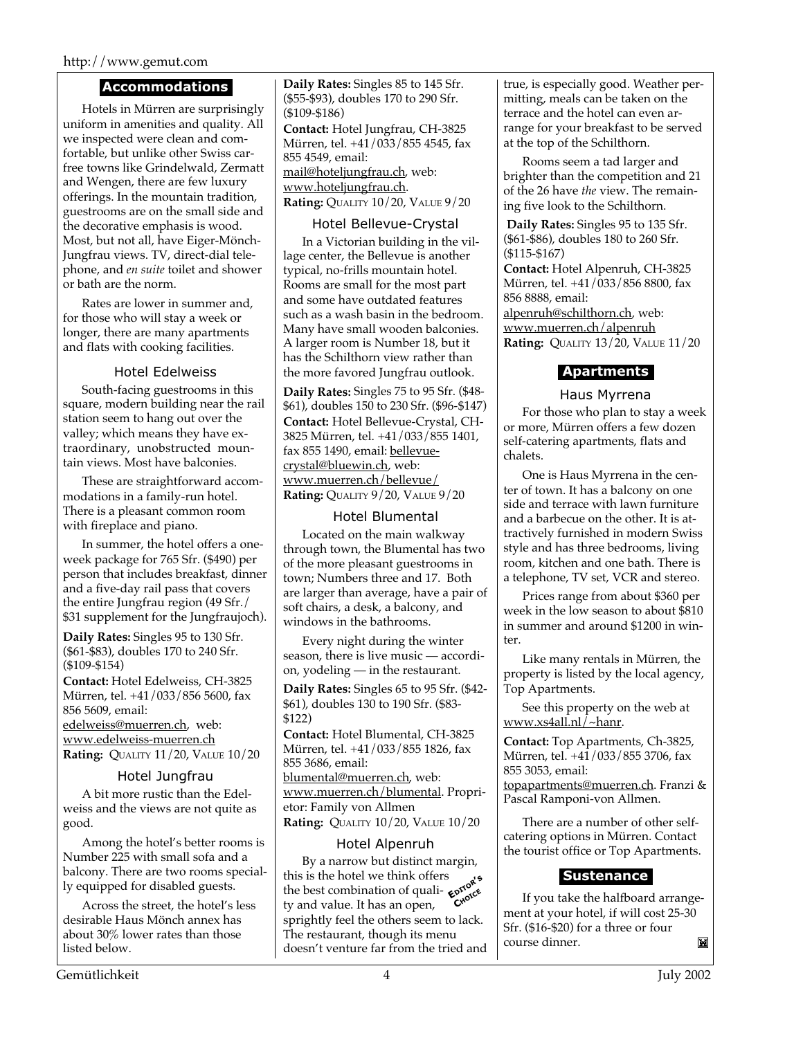## http://www.gemut.com

## **Accommodations**

Hotels in Mürren are surprisingly uniform in amenities and quality. All we inspected were clean and comfortable, but unlike other Swiss carfree towns like Grindelwald, Zermatt and Wengen, there are few luxury offerings. In the mountain tradition, guestrooms are on the small side and the decorative emphasis is wood. Most, but not all, have Eiger-Mönch-Jungfrau views. TV, direct-dial telephone, and *en suite* toilet and shower or bath are the norm.

Rates are lower in summer and, for those who will stay a week or longer, there are many apartments and flats with cooking facilities.

## Hotel Edelweiss

South-facing guestrooms in this square, modern building near the rail station seem to hang out over the valley; which means they have extraordinary, unobstructed mountain views. Most have balconies.

These are straightforward accommodations in a family-run hotel. There is a pleasant common room with fireplace and piano.

In summer, the hotel offers a oneweek package for 765 Sfr. (\$490) per person that includes breakfast, dinner and a five-day rail pass that covers the entire Jungfrau region (49 Sfr./ \$31 supplement for the Jungfraujoch).

**Daily Rates:** Singles 95 to 130 Sfr. (\$61-\$83), doubles 170 to 240 Sfr. (\$109-\$154)

**Contact:** Hotel Edelweiss, CH-3825 Mürren, tel. +41/033/856 5600, fax 856 5609, email:

edelweiss@muerren.ch, web: www.edelweiss-muerren.ch **Rating:** QUALITY 11/20, VALUE 10/20

## Hotel Jungfrau

A bit more rustic than the Edelweiss and the views are not quite as good.

Among the hotel's better rooms is Number 225 with small sofa and a balcony. There are two rooms specially equipped for disabled guests.

Across the street, the hotel's less desirable Haus Mönch annex has about 30% lower rates than those listed below.

**Daily Rates:** Singles 85 to 145 Sfr. (\$55-\$93), doubles 170 to 290 Sfr. (\$109-\$186)

**Contact:** Hotel Jungfrau, CH-3825 Mürren, tel. +41/033/855 4545, fax 855 4549, email: mail@hoteljungfrau.ch, web: www.hoteljungfrau.ch. **Rating:** QUALITY 10/20, VALUE 9/20

## Hotel Bellevue-Crystal

In a Victorian building in the village center, the Bellevue is another typical, no-frills mountain hotel. Rooms are small for the most part and some have outdated features such as a wash basin in the bedroom. Many have small wooden balconies. A larger room is Number 18, but it has the Schilthorn view rather than the more favored Jungfrau outlook.

**Daily Rates:** Singles 75 to 95 Sfr. (\$48- \$61), doubles 150 to 230 Sfr. (\$96-\$147) **Contact:** Hotel Bellevue-Crystal, CH-3825 Mürren, tel. +41/033/855 1401, fax 855 1490, email: bellevuecrystal@bluewin.ch, web: www.muerren.ch/bellevue/ **Rating:** QUALITY 9/20, VALUE 9/20

## Hotel Blumental

Located on the main walkway through town, the Blumental has two of the more pleasant guestrooms in town; Numbers three and 17. Both are larger than average, have a pair of soft chairs, a desk, a balcony, and windows in the bathrooms.

Every night during the winter season, there is live music — accordion, yodeling — in the restaurant.

**Daily Rates:** Singles 65 to 95 Sfr. (\$42- \$61), doubles 130 to 190 Sfr. (\$83- \$122)

**Contact:** Hotel Blumental, CH-3825 Mürren, tel. +41/033/855 1826, fax 855 3686, email: blumental@muerren.ch, web: www.muerren.ch/blumental. Proprietor: Family von Allmen

**Rating:** QUALITY 10/20, VALUE 10/20

## Hotel Alpenruh

**EDITOR'<sup>S</sup> CHOICE** By a narrow but distinct margin, this is the hotel we think offers this is the hotel we think offers the best combination of quality and value. It has an open, sprightly feel the others seem to lack. The restaurant, though its menu doesn't venture far from the tried and true, is especially good. Weather permitting, meals can be taken on the terrace and the hotel can even arrange for your breakfast to be served at the top of the Schilthorn.

Rooms seem a tad larger and brighter than the competition and 21 of the 26 have *the* view. The remaining five look to the Schilthorn.

**Daily Rates:** Singles 95 to 135 Sfr. (\$61-\$86), doubles 180 to 260 Sfr. (\$115-\$167)

**Contact:** Hotel Alpenruh, CH-3825 Mürren, tel. +41/033/856 8800, fax 856 8888, email:

alpenruh@schilthorn.ch, web: www.muerren.ch/alpenruh **Rating:** QUALITY 13/20, VALUE 11/20

## **Apartments**

Haus Myrrena

For those who plan to stay a week or more, Mürren offers a few dozen self-catering apartments, flats and chalets.

One is Haus Myrrena in the center of town. It has a balcony on one side and terrace with lawn furniture and a barbecue on the other. It is attractively furnished in modern Swiss style and has three bedrooms, living room, kitchen and one bath. There is a telephone, TV set, VCR and stereo.

Prices range from about \$360 per week in the low season to about \$810 in summer and around \$1200 in winter.

Like many rentals in Mürren, the property is listed by the local agency, Top Apartments.

See this property on the web at www.xs4all.nl/~hanr.

**Contact:** Top Apartments, Ch-3825, Mürren, tel. +41/033/855 3706, fax 855 3053, email: topapartments@muerren.ch. Franzi &

Pascal Ramponi-von Allmen.

There are a number of other selfcatering options in Mürren. Contact the tourist office or Top Apartments.

## **Sustenance**

If you take the halfboard arrangement at your hotel, if will cost 25-30 Sfr. (\$16-\$20) for a three or four course dinner. M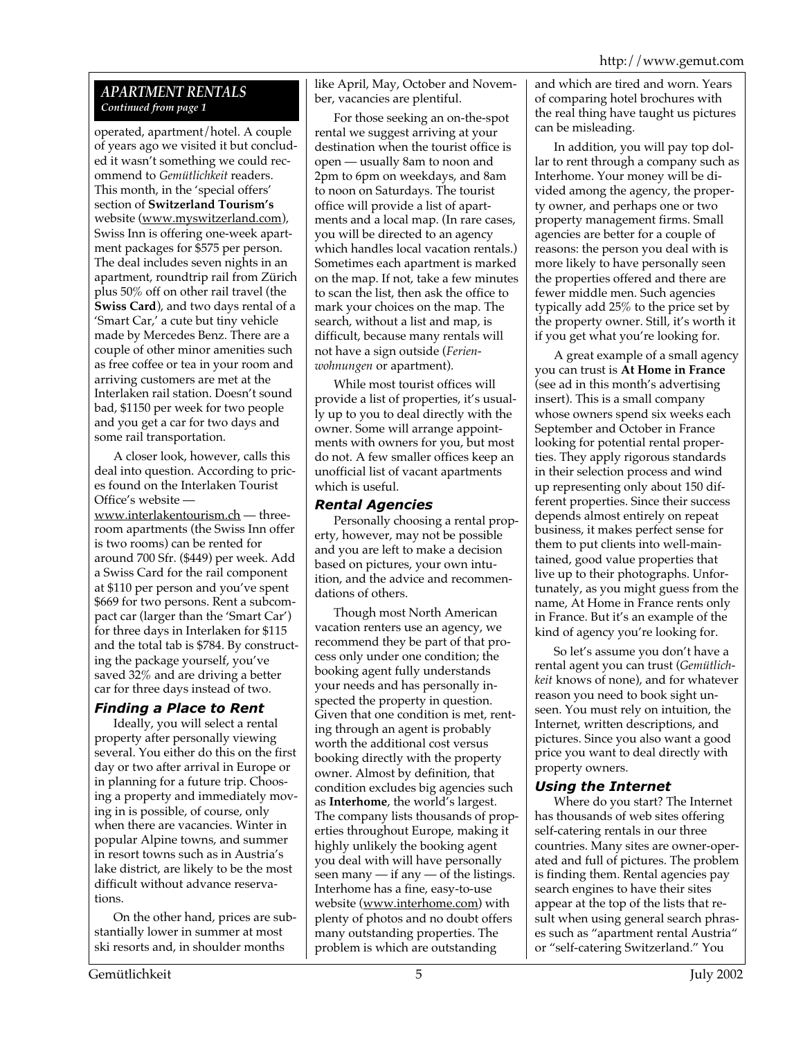## *APARTMENT RENTALS Continued from page 1*

operated, apartment/hotel. A couple of years ago we visited it but concluded it wasn't something we could recommend to *Gemütlichkeit* readers. This month, in the 'special offers' section of **Switzerland Tourism's** website (www.myswitzerland.com), Swiss Inn is offering one-week apartment packages for \$575 per person. The deal includes seven nights in an apartment, roundtrip rail from Zürich plus 50% off on other rail travel (the **Swiss Card**), and two days rental of a 'Smart Car,' a cute but tiny vehicle made by Mercedes Benz. There are a couple of other minor amenities such as free coffee or tea in your room and arriving customers are met at the Interlaken rail station. Doesn't sound bad, \$1150 per week for two people and you get a car for two days and some rail transportation.

A closer look, however, calls this deal into question. According to prices found on the Interlaken Tourist Office's website www.interlakentourism.ch — threeroom apartments (the Swiss Inn offer is two rooms) can be rented for around 700 Sfr. (\$449) per week. Add a Swiss Card for the rail component at \$110 per person and you've spent \$669 for two persons. Rent a subcompact car (larger than the 'Smart Car') for three days in Interlaken for \$115 and the total tab is \$784. By constructing the package yourself, you've saved 32% and are driving a better car for three days instead of two.

## *Finding a Place to Rent*

Ideally, you will select a rental property after personally viewing several. You either do this on the first day or two after arrival in Europe or in planning for a future trip. Choosing a property and immediately moving in is possible, of course, only when there are vacancies. Winter in popular Alpine towns, and summer in resort towns such as in Austria's lake district, are likely to be the most difficult without advance reservations.

On the other hand, prices are substantially lower in summer at most ski resorts and, in shoulder months

like April, May, October and November, vacancies are plentiful.

For those seeking an on-the-spot rental we suggest arriving at your destination when the tourist office is open — usually 8am to noon and 2pm to 6pm on weekdays, and 8am to noon on Saturdays. The tourist office will provide a list of apartments and a local map. (In rare cases, you will be directed to an agency which handles local vacation rentals.) Sometimes each apartment is marked on the map. If not, take a few minutes to scan the list, then ask the office to mark your choices on the map. The search, without a list and map, is difficult, because many rentals will not have a sign outside (*Ferienwohnungen* or apartment).

While most tourist offices will provide a list of properties, it's usually up to you to deal directly with the owner. Some will arrange appointments with owners for you, but most do not. A few smaller offices keep an unofficial list of vacant apartments which is useful.

## *Rental Agencies*

Personally choosing a rental property, however, may not be possible and you are left to make a decision based on pictures, your own intuition, and the advice and recommendations of others.

Though most North American vacation renters use an agency, we recommend they be part of that process only under one condition; the booking agent fully understands your needs and has personally inspected the property in question. Given that one condition is met, renting through an agent is probably worth the additional cost versus booking directly with the property owner. Almost by definition, that condition excludes big agencies such as **Interhome**, the world's largest. The company lists thousands of properties throughout Europe, making it highly unlikely the booking agent you deal with will have personally seen many  $-$  if any  $-$  of the listings. Interhome has a fine, easy-to-use website (www.interhome.com) with plenty of photos and no doubt offers many outstanding properties. The problem is which are outstanding

and which are tired and worn. Years of comparing hotel brochures with the real thing have taught us pictures can be misleading.

In addition, you will pay top dollar to rent through a company such as Interhome. Your money will be divided among the agency, the property owner, and perhaps one or two property management firms. Small agencies are better for a couple of reasons: the person you deal with is more likely to have personally seen the properties offered and there are fewer middle men. Such agencies typically add 25% to the price set by the property owner. Still, it's worth it if you get what you're looking for.

A great example of a small agency you can trust is **At Home in France** (see ad in this month's advertising insert). This is a small company whose owners spend six weeks each September and October in France looking for potential rental properties. They apply rigorous standards in their selection process and wind up representing only about 150 different properties. Since their success depends almost entirely on repeat business, it makes perfect sense for them to put clients into well-maintained, good value properties that live up to their photographs. Unfortunately, as you might guess from the name, At Home in France rents only in France. But it's an example of the kind of agency you're looking for.

So let's assume you don't have a rental agent you can trust (*Gemütlichkeit* knows of none), and for whatever reason you need to book sight unseen. You must rely on intuition, the Internet, written descriptions, and pictures. Since you also want a good price you want to deal directly with property owners.

## *Using the Internet*

Where do you start? The Internet has thousands of web sites offering self-catering rentals in our three countries. Many sites are owner-operated and full of pictures. The problem is finding them. Rental agencies pay search engines to have their sites appear at the top of the lists that result when using general search phrases such as "apartment rental Austria" or "self-catering Switzerland." You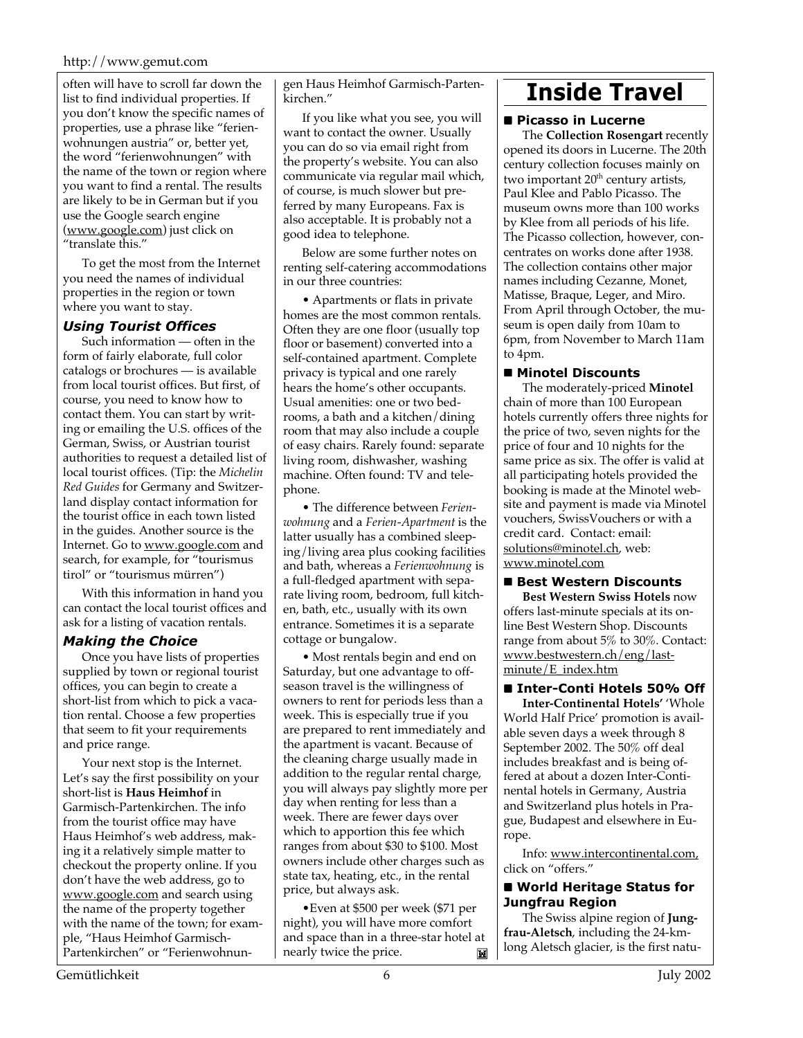## http://www.gemut.com

often will have to scroll far down the list to find individual properties. If you don't know the specific names of properties, use a phrase like "ferienwohnungen austria" or, better yet, the word "ferienwohnungen" with the name of the town or region where you want to find a rental. The results are likely to be in German but if you use the Google search engine (www.google.com) just click on "translate this."

To get the most from the Internet you need the names of individual properties in the region or town where you want to stay.

## *Using Tourist Offices*

Such information — often in the form of fairly elaborate, full color catalogs or brochures — is available from local tourist offices. But first, of course, you need to know how to contact them. You can start by writing or emailing the U.S. offices of the German, Swiss, or Austrian tourist authorities to request a detailed list of local tourist offices. (Tip: the *Michelin Red Guides* for Germany and Switzerland display contact information for the tourist office in each town listed in the guides. Another source is the Internet. Go to www.google.com and search, for example, for "tourismus tirol" or "tourismus mürren")

With this information in hand you can contact the local tourist offices and ask for a listing of vacation rentals.

## *Making the Choice*

Once you have lists of properties supplied by town or regional tourist offices, you can begin to create a short-list from which to pick a vacation rental. Choose a few properties that seem to fit your requirements and price range.

Your next stop is the Internet. Let's say the first possibility on your short-list is **Haus Heimhof** in Garmisch-Partenkirchen. The info from the tourist office may have Haus Heimhof's web address, making it a relatively simple matter to checkout the property online. If you don't have the web address, go to www.google.com and search using the name of the property together with the name of the town; for example, "Haus Heimhof Garmisch-Partenkirchen" or "Ferienwohnun-

gen Haus Heimhof Garmisch-Partenkirchen."

If you like what you see, you will want to contact the owner. Usually you can do so via email right from the property's website. You can also communicate via regular mail which, of course, is much slower but preferred by many Europeans. Fax is also acceptable. It is probably not a good idea to telephone.

Below are some further notes on renting self-catering accommodations in our three countries:

• Apartments or flats in private homes are the most common rentals. Often they are one floor (usually top floor or basement) converted into a self-contained apartment. Complete privacy is typical and one rarely hears the home's other occupants. Usual amenities: one or two bedrooms, a bath and a kitchen/dining room that may also include a couple of easy chairs. Rarely found: separate living room, dishwasher, washing machine. Often found: TV and telephone.

• The difference between *Ferienwohnung* and a *Ferien*-*Apartment* is the latter usually has a combined sleeping/living area plus cooking facilities and bath, whereas a *Ferienwohnung* is a full-fledged apartment with separate living room, bedroom, full kitchen, bath, etc., usually with its own entrance. Sometimes it is a separate cottage or bungalow.

• Most rentals begin and end on Saturday, but one advantage to offseason travel is the willingness of owners to rent for periods less than a week. This is especially true if you are prepared to rent immediately and the apartment is vacant. Because of the cleaning charge usually made in addition to the regular rental charge, you will always pay slightly more per day when renting for less than a week. There are fewer days over which to apportion this fee which ranges from about \$30 to \$100. Most owners include other charges such as state tax, heating, etc., in the rental price, but always ask.

•Even at \$500 per week (\$71 per night), you will have more comfort and space than in a three-star hotel at nearly twice the price.  $\blacksquare$ 

# **Inside Travel**

#### **n** Picasso in Lucerne

The **Collection Rosengart** recently opened its doors in Lucerne. The 20th century collection focuses mainly on two important  $20<sup>th</sup>$  century artists, Paul Klee and Pablo Picasso. The museum owns more than 100 works by Klee from all periods of his life. The Picasso collection, however, concentrates on works done after 1938. The collection contains other major names including Cezanne, Monet, Matisse, Braque, Leger, and Miro. From April through October, the museum is open daily from 10am to 6pm, from November to March 11am to 4pm.

#### n **Minotel Discounts**

The moderately-priced **Minotel** chain of more than 100 European hotels currently offers three nights for the price of two, seven nights for the price of four and 10 nights for the same price as six. The offer is valid at all participating hotels provided the booking is made at the Minotel website and payment is made via Minotel vouchers, SwissVouchers or with a credit card. Contact: email: solutions@minotel.ch, web: www.minotel.com

■ Best Western Discounts **Best Western Swiss Hotels** now offers last-minute specials at its on-

line Best Western Shop. Discounts range from about 5% to 30%. Contact: www.bestwestern.ch/eng/lastminute/E\_index.htm

## ■ Inter-Conti Hotels 50% Off

**Inter-Continental Hotels'** 'Whole World Half Price' promotion is available seven days a week through 8 September 2002. The 50% off deal includes breakfast and is being offered at about a dozen Inter-Continental hotels in Germany, Austria and Switzerland plus hotels in Prague, Budapest and elsewhere in Europe.

Info: www.intercontinental.com, click on "offers."

## ■ World Heritage Status for **Jungfrau Region**

The Swiss alpine region of **Jungfrau-Aletsch**, including the 24-kmlong Aletsch glacier, is the first natu-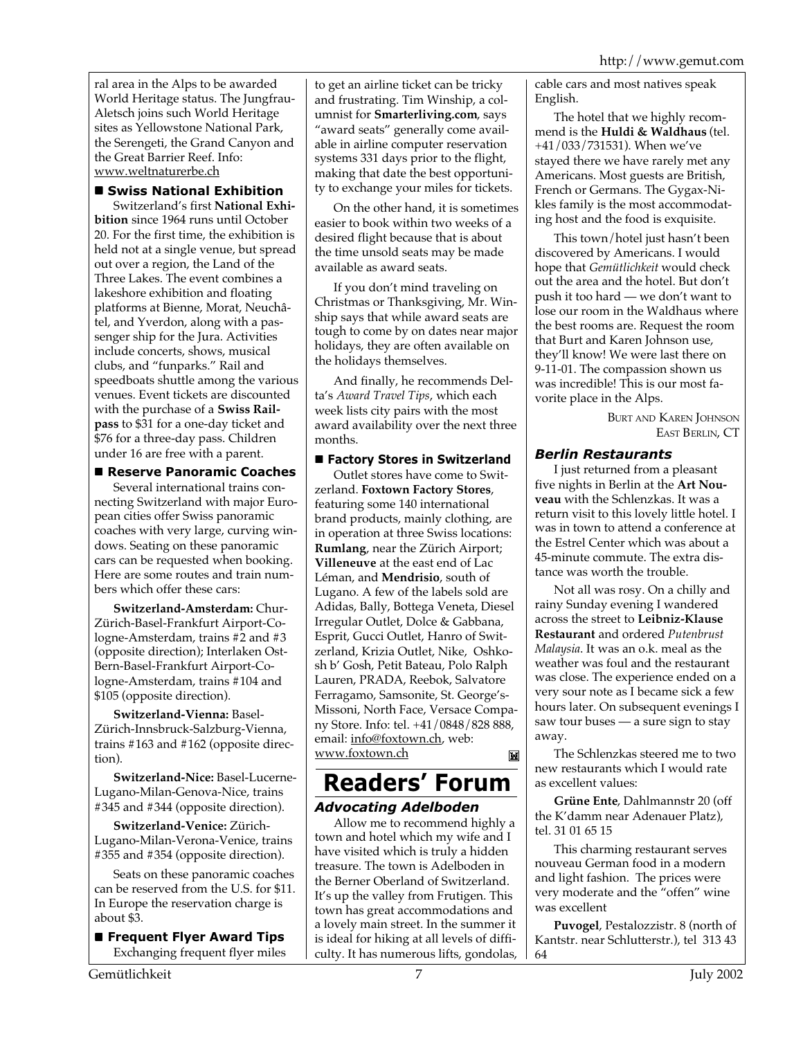ral area in the Alps to be awarded World Heritage status. The Jungfrau-Aletsch joins such World Heritage sites as Yellowstone National Park, the Serengeti, the Grand Canyon and the Great Barrier Reef. Info: www.weltnaturerbe.ch

## n **Swiss National Exhibition**

Switzerland's first **National Exhibition** since 1964 runs until October 20. For the first time, the exhibition is held not at a single venue, but spread out over a region, the Land of the Three Lakes. The event combines a lakeshore exhibition and floating platforms at Bienne, Morat, Neuchâtel, and Yverdon, along with a passenger ship for the Jura. Activities include concerts, shows, musical clubs, and "funparks." Rail and speedboats shuttle among the various venues. Event tickets are discounted with the purchase of a **Swiss Railpass** to \$31 for a one-day ticket and \$76 for a three-day pass. Children under 16 are free with a parent.

## ■ Reserve Panoramic Coaches

Several international trains connecting Switzerland with major European cities offer Swiss panoramic coaches with very large, curving windows. Seating on these panoramic cars can be requested when booking. Here are some routes and train numbers which offer these cars:

**Switzerland-Amsterdam:** Chur-Zürich-Basel-Frankfurt Airport-Cologne-Amsterdam, trains #2 and #3 (opposite direction); Interlaken Ost-Bern-Basel-Frankfurt Airport-Cologne-Amsterdam, trains #104 and \$105 (opposite direction).

**Switzerland-Vienna:** Basel-Zürich-Innsbruck-Salzburg-Vienna, trains #163 and #162 (opposite direction).

**Switzerland-Nice:** Basel-Lucerne-Lugano-Milan-Genova-Nice, trains #345 and #344 (opposite direction).

**Switzerland-Venice:** Zürich-Lugano-Milan-Verona-Venice, trains #355 and #354 (opposite direction).

Seats on these panoramic coaches can be reserved from the U.S. for \$11. In Europe the reservation charge is about \$3.

**n** Frequent Flyer Award Tips Exchanging frequent flyer miles to get an airline ticket can be tricky and frustrating. Tim Winship, a columnist for **Smarterliving.com**, says "award seats" generally come available in airline computer reservation systems 331 days prior to the flight, making that date the best opportunity to exchange your miles for tickets.

On the other hand, it is sometimes easier to book within two weeks of a desired flight because that is about the time unsold seats may be made available as award seats.

If you don't mind traveling on Christmas or Thanksgiving, Mr. Winship says that while award seats are tough to come by on dates near major holidays, they are often available on the holidays themselves.

And finally, he recommends Delta's *Award Travel Tips*, which each week lists city pairs with the most award availability over the next three months.

## ■ Factory Stores in Switzerland

Outlet stores have come to Switzerland. **Foxtown Factory Stores**, featuring some 140 international brand products, mainly clothing, are in operation at three Swiss locations: **Rumlang**, near the Zürich Airport; **Villeneuve** at the east end of Lac Léman, and **Mendrisio**, south of Lugano. A few of the labels sold are Adidas, Bally, Bottega Veneta, Diesel Irregular Outlet, Dolce & Gabbana, Esprit, Gucci Outlet, Hanro of Switzerland, Krizia Outlet, Nike, Oshkosh b' Gosh, Petit Bateau, Polo Ralph Lauren, PRADA, Reebok, Salvatore Ferragamo, Samsonite, St. George's-Missoni, North Face, Versace Company Store. Info: tel. +41/0848/828 888, email: info@foxtown.ch, web: www.foxtown.ch M

# **Readers' Forum** *Advocating Adelboden*

Allow me to recommend highly a town and hotel which my wife and I have visited which is truly a hidden treasure. The town is Adelboden in the Berner Oberland of Switzerland. It's up the valley from Frutigen. This town has great accommodations and a lovely main street. In the summer it is ideal for hiking at all levels of difficulty. It has numerous lifts, gondolas, cable cars and most natives speak English.

The hotel that we highly recommend is the **Huldi & Waldhaus** (tel. +41/033/731531). When we've stayed there we have rarely met any Americans. Most guests are British, French or Germans. The Gygax-Nikles family is the most accommodating host and the food is exquisite.

This town/hotel just hasn't been discovered by Americans. I would hope that *Gemütlichkeit* would check out the area and the hotel. But don't push it too hard — we don't want to lose our room in the Waldhaus where the best rooms are. Request the room that Burt and Karen Johnson use, they'll know! We were last there on 9-11-01. The compassion shown us was incredible! This is our most favorite place in the Alps.

> BURT AND KAREN JOHNSON EAST BERLIN, CT

## *Berlin Restaurants*

I just returned from a pleasant five nights in Berlin at the **Art Nouveau** with the Schlenzkas. It was a return visit to this lovely little hotel. I was in town to attend a conference at the Estrel Center which was about a 45-minute commute. The extra distance was worth the trouble.

Not all was rosy. On a chilly and rainy Sunday evening I wandered across the street to **Leibniz-Klause Restaurant** and ordered *Putenbrust Malaysia*. It was an o.k. meal as the weather was foul and the restaurant was close. The experience ended on a very sour note as I became sick a few hours later. On subsequent evenings I saw tour buses — a sure sign to stay away.

The Schlenzkas steered me to two new restaurants which I would rate as excellent values:

**Grüne Ente**, Dahlmannstr 20 (off the K'damm near Adenauer Platz), tel. 31 01 65 15

This charming restaurant serves nouveau German food in a modern and light fashion. The prices were very moderate and the "offen" wine was excellent

**Puvogel**, Pestalozzistr. 8 (north of Kantstr. near Schlutterstr.), tel 313 43 64